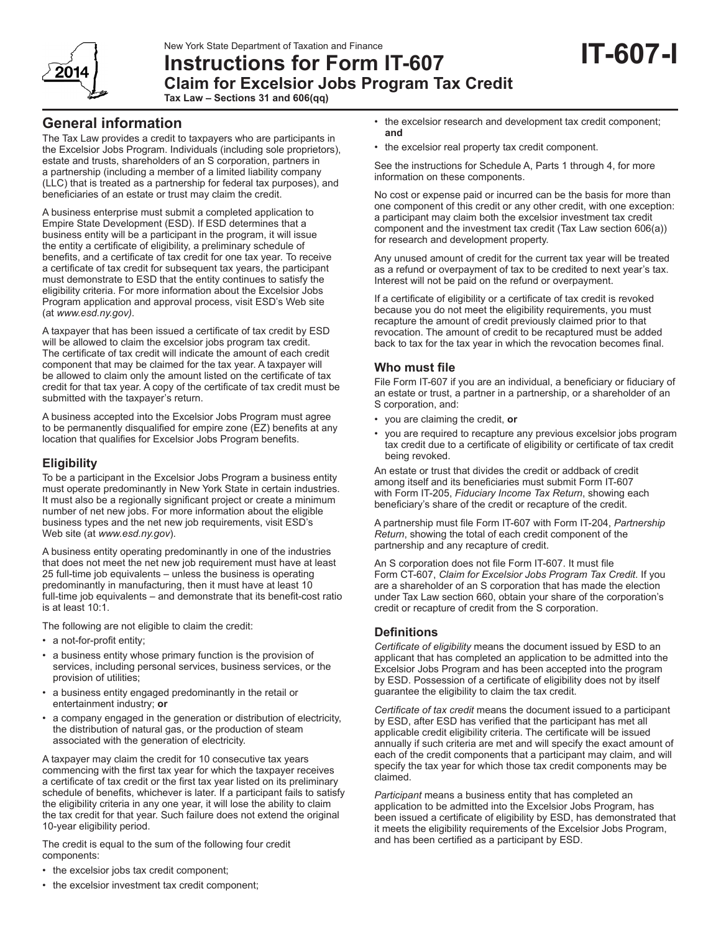

# **Instructions for Form IT-607 Claim for Excelsior Jobs Program Tax Credit Tax Law – Sections 31 and 606(qq)**

# **General information**

The Tax Law provides a credit to taxpayers who are participants in the Excelsior Jobs Program. Individuals (including sole proprietors), estate and trusts, shareholders of an S corporation, partners in a partnership (including a member of a limited liability company (LLC) that is treated as a partnership for federal tax purposes), and beneficiaries of an estate or trust may claim the credit.

A business enterprise must submit a completed application to Empire State Development (ESD). If ESD determines that a business entity will be a participant in the program, it will issue the entity a certificate of eligibility, a preliminary schedule of benefits, and a certificate of tax credit for one tax year*.* To receive a certificate of tax credit for subsequent tax years, the participant must demonstrate to ESD that the entity continues to satisfy the eligibility criteria. For more information about the Excelsior Jobs Program application and approval process, visit ESD's Web site (at *www.esd.ny.gov)*.

A taxpayer that has been issued a certificate of tax credit by ESD will be allowed to claim the excelsior jobs program tax credit. The certificate of tax credit will indicate the amount of each credit component that may be claimed for the tax year. A taxpayer will be allowed to claim only the amount listed on the certificate of tax credit for that tax year. A copy of the certificate of tax credit must be submitted with the taxpayer's return.

A business accepted into the Excelsior Jobs Program must agree to be permanently disqualified for empire zone (EZ) benefits at any location that qualifies for Excelsior Jobs Program benefits.

# **Eligibility**

To be a participant in the Excelsior Jobs Program a business entity must operate predominantly in New York State in certain industries. It must also be a regionally significant project or create a minimum number of net new jobs. For more information about the eligible business types and the net new job requirements, visit ESD's Web site (at *www.esd.ny.gov*).

A business entity operating predominantly in one of the industries that does not meet the net new job requirement must have at least 25 full-time job equivalents – unless the business is operating predominantly in manufacturing, then it must have at least 10 full-time job equivalents – and demonstrate that its benefit-cost ratio is at least 10:1.

The following are not eligible to claim the credit:

- a not-for-profit entity;
- a business entity whose primary function is the provision of services, including personal services, business services, or the provision of utilities;
- a business entity engaged predominantly in the retail or entertainment industry; **or**
- a company engaged in the generation or distribution of electricity, the distribution of natural gas, or the production of steam associated with the generation of electricity.

A taxpayer may claim the credit for 10 consecutive tax years commencing with the first tax year for which the taxpayer receives a certificate of tax credit or the first tax year listed on its preliminary schedule of benefits, whichever is later. If a participant fails to satisfy the eligibility criteria in any one year, it will lose the ability to claim the tax credit for that year. Such failure does not extend the original 10-year eligibility period.

The credit is equal to the sum of the following four credit components:

- the excelsior jobs tax credit component;
- the excelsior investment tax credit component;
- the excelsior research and development tax credit component; **and**
- the excelsior real property tax credit component.

See the instructions for Schedule A, Parts 1 through 4, for more information on these components.

No cost or expense paid or incurred can be the basis for more than one component of this credit or any other credit, with one exception: a participant may claim both the excelsior investment tax credit component and the investment tax credit (Tax Law section 606(a)) for research and development property.

Any unused amount of credit for the current tax year will be treated as a refund or overpayment of tax to be credited to next year's tax. Interest will not be paid on the refund or overpayment.

If a certificate of eligibility or a certificate of tax credit is revoked because you do not meet the eligibility requirements, you must recapture the amount of credit previously claimed prior to that revocation. The amount of credit to be recaptured must be added back to tax for the tax year in which the revocation becomes final.

## **Who must file**

File Form IT-607 if you are an individual, a beneficiary or fiduciary of an estate or trust, a partner in a partnership, or a shareholder of an S corporation, and:

- you are claiming the credit, **or**
- you are required to recapture any previous excelsior jobs program tax credit due to a certificate of eligibility or certificate of tax credit being revoked.

An estate or trust that divides the credit or addback of credit among itself and its beneficiaries must submit Form IT-607 with Form IT-205, *Fiduciary Income Tax Return*, showing each beneficiary's share of the credit or recapture of the credit.

A partnership must file Form IT-607 with Form IT-204, *Partnership Return*, showing the total of each credit component of the partnership and any recapture of credit.

An S corporation does not file Form IT-607. It must file Form CT-607, *Claim for Excelsior Jobs Program Tax Credit*. If you are a shareholder of an S corporation that has made the election under Tax Law section 660, obtain your share of the corporation's credit or recapture of credit from the S corporation.

# **Definitions**

*Certificate of eligibility* means the document issued by ESD to an applicant that has completed an application to be admitted into the Excelsior Jobs Program and has been accepted into the program by ESD. Possession of a certificate of eligibility does not by itself guarantee the eligibility to claim the tax credit.

*Certificate of tax credit* means the document issued to a participant by ESD, after ESD has verified that the participant has met all applicable credit eligibility criteria. The certificate will be issued annually if such criteria are met and will specify the exact amount of each of the credit components that a participant may claim, and will specify the tax year for which those tax credit components may be claimed.

*Participant* means a business entity that has completed an application to be admitted into the Excelsior Jobs Program, has been issued a certificate of eligibility by ESD, has demonstrated that it meets the eligibility requirements of the Excelsior Jobs Program, and has been certified as a participant by ESD.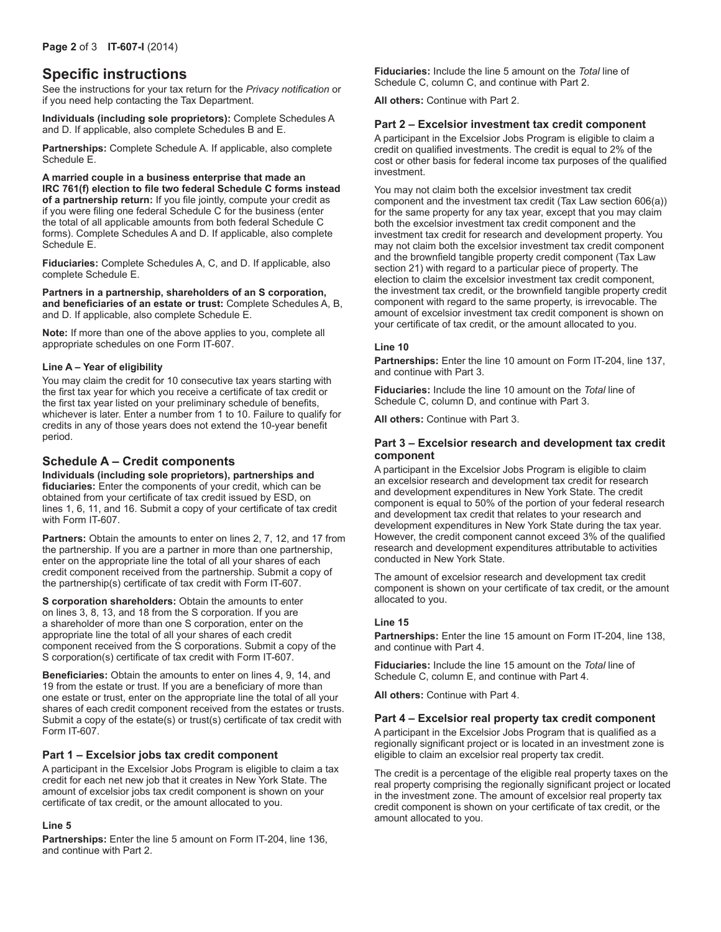# **Specific instructions**

See the instructions for your tax return for the *Privacy notification* or if you need help contacting the Tax Department.

**Individuals (including sole proprietors):** Complete Schedules A and D. If applicable, also complete Schedules B and E.

**Partnerships:** Complete Schedule A. If applicable, also complete Schedule E.

**A married couple in a business enterprise that made an IRC 761(f) election to file two federal Schedule C forms instead of a partnership return:** If you file jointly, compute your credit as if you were filing one federal Schedule C for the business (enter the total of all applicable amounts from both federal Schedule C forms). Complete Schedules A and D. If applicable, also complete Schedule E.

**Fiduciaries:** Complete Schedules A, C, and D. If applicable, also complete Schedule E.

**Partners in a partnership, shareholders of an S corporation, and beneficiaries of an estate or trust:** Complete Schedules A, B, and D. If applicable, also complete Schedule E.

**Note:** If more than one of the above applies to you, complete all appropriate schedules on one Form IT-607.

### **Line A – Year of eligibility**

You may claim the credit for 10 consecutive tax years starting with the first tax year for which you receive a certificate of tax credit or the first tax year listed on your preliminary schedule of benefits, whichever is later. Enter a number from 1 to 10. Failure to qualify for credits in any of those years does not extend the 10-year benefit period.

### **Schedule A – Credit components**

**Individuals (including sole proprietors), partnerships and fiduciaries:** Enter the components of your credit, which can be obtained from your certificate of tax credit issued by ESD, on lines 1, 6, 11, and 16. Submit a copy of your certificate of tax credit with Form IT-607.

**Partners:** Obtain the amounts to enter on lines 2, 7, 12, and 17 from the partnership. If you are a partner in more than one partnership, enter on the appropriate line the total of all your shares of each credit component received from the partnership. Submit a copy of the partnership(s) certificate of tax credit with Form IT-607.

**S corporation shareholders: Obtain the amounts to enter** on lines 3, 8, 13, and 18 from the S corporation. If you are a shareholder of more than one S corporation, enter on the appropriate line the total of all your shares of each credit component received from the S corporations. Submit a copy of the S corporation(s) certificate of tax credit with Form IT-607.

**Beneficiaries:** Obtain the amounts to enter on lines 4, 9, 14, and 19 from the estate or trust. If you are a beneficiary of more than one estate or trust, enter on the appropriate line the total of all your shares of each credit component received from the estates or trusts. Submit a copy of the estate(s) or trust(s) certificate of tax credit with Form IT-607.

### **Part 1 – Excelsior jobs tax credit component**

A participant in the Excelsior Jobs Program is eligible to claim a tax credit for each net new job that it creates in New York State. The amount of excelsior jobs tax credit component is shown on your certificate of tax credit, or the amount allocated to you.

#### **Line 5**

**Partnerships:** Enter the line 5 amount on Form IT-204, line 136, and continue with Part 2.

**Fiduciaries:** Include the line 5 amount on the *Total* line of Schedule C, column C, and continue with Part 2.

**All others:** Continue with Part 2.

### **Part 2 – Excelsior investment tax credit component**

A participant in the Excelsior Jobs Program is eligible to claim a credit on qualified investments. The credit is equal to 2% of the cost or other basis for federal income tax purposes of the qualified investment.

You may not claim both the excelsior investment tax credit component and the investment tax credit (Tax Law section 606(a)) for the same property for any tax year, except that you may claim both the excelsior investment tax credit component and the investment tax credit for research and development property. You may not claim both the excelsior investment tax credit component and the brownfield tangible property credit component (Tax Law section 21) with regard to a particular piece of property. The election to claim the excelsior investment tax credit component, the investment tax credit, or the brownfield tangible property credit component with regard to the same property, is irrevocable. The amount of excelsior investment tax credit component is shown on your certificate of tax credit, or the amount allocated to you.

#### **Line 10**

**Partnerships:** Enter the line 10 amount on Form IT-204, line 137, and continue with Part 3.

**Fiduciaries:** Include the line 10 amount on the *Total* line of Schedule C, column D, and continue with Part 3.

**All others:** Continue with Part 3.

### **Part 3 – Excelsior research and development tax credit component**

A participant in the Excelsior Jobs Program is eligible to claim an excelsior research and development tax credit for research and development expenditures in New York State. The credit component is equal to 50% of the portion of your federal research and development tax credit that relates to your research and development expenditures in New York State during the tax year. However, the credit component cannot exceed 3% of the qualified research and development expenditures attributable to activities conducted in New York State.

The amount of excelsior research and development tax credit component is shown on your certificate of tax credit, or the amount allocated to you.

#### **Line 15**

**Partnerships:** Enter the line 15 amount on Form IT-204, line 138, and continue with Part 4.

**Fiduciaries:** Include the line 15 amount on the *Total* line of Schedule C, column E, and continue with Part 4.

**All others:** Continue with Part 4.

#### **Part 4 – Excelsior real property tax credit component**

A participant in the Excelsior Jobs Program that is qualified as a regionally significant project or is located in an investment zone is eligible to claim an excelsior real property tax credit.

The credit is a percentage of the eligible real property taxes on the real property comprising the regionally significant project or located in the investment zone. The amount of excelsior real property tax credit component is shown on your certificate of tax credit, or the amount allocated to you.